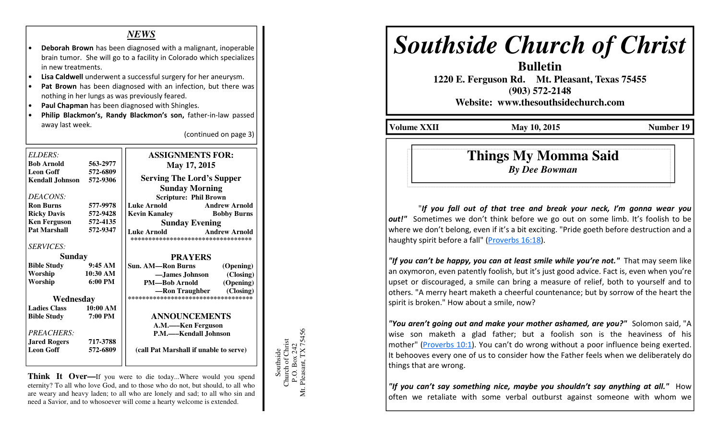### *NEWS*

- Deborah Brown has been diagnosed with a malignant, inoperable brain tumor. She will go to a facility in Colorado which specializes in new treatments.
- Lisa Caldwell underwent a successful surgery for her aneurysm.
- Pat Brown has been diagnosed with an infection, but there was nothing in her lungs as was previously feared.
- Paul Chapman has been diagnosed with Shingles.
- Philip Blackmon's, Randy Blackmon's son, father-in-law passed away last week.

(continued on page 3)

| ELDERS:                |                     | <b>ASSIGNMENTS FOR:</b>                                                           |
|------------------------|---------------------|-----------------------------------------------------------------------------------|
| <b>Bob Arnold</b>      | 563-2977            | May 17, 2015                                                                      |
| <b>Leon Goff</b>       | 572-6809            |                                                                                   |
| <b>Kendall Johnson</b> | 572-9306            | <b>Serving The Lord's Supper</b>                                                  |
|                        |                     | <b>Sunday Morning</b>                                                             |
| DEACONS:               |                     | <b>Scripture: Phil Brown</b>                                                      |
| <b>Ron Burns</b>       | 577-9978            | <b>Luke Arnold</b><br><b>Andrew Arnold</b>                                        |
| <b>Ricky Davis</b>     | 572-9428            | <b>Kevin Kanaley Bobby Burns</b>                                                  |
| <b>Ken Ferguson</b>    | 572-4135            | <b>Sunday Evening</b>                                                             |
| <b>Pat Marshall</b>    | 572-9347            | <b>Andrew Arnold</b><br><b>Luke Arnold</b><br>*********************************** |
| <b>SERVICES:</b>       |                     |                                                                                   |
| <b>Sunday</b>          |                     | <b>PRAYERS</b>                                                                    |
| <b>Bible Study</b>     | 9:45AM              | <b>Sun. AM—Ron Burns</b><br>(Opening)                                             |
| Worship                | 10:30 AM            | -James Johnson (Closing)                                                          |
| Worship                | $6:00 \text{ PM}$   | <b>PM—Bob Arnold</b><br>(Opening)                                                 |
|                        |                     | -Ron Traughber (Closing)                                                          |
| Wednesday              |                     | ************************************                                              |
| <b>Ladies Class</b>    | $10:00~\mathrm{AM}$ |                                                                                   |
| <b>Bible Study</b>     | 7:00 PM             | <b>ANNOUNCEMENTS</b>                                                              |
|                        |                     | A.M.-Ken Ferguson                                                                 |
| <i>PREACHERS:</i>      |                     | P.M.—–Kendall Johnson                                                             |
|                        | 717-3788            |                                                                                   |
| <b>Leon Goff</b>       | 572-6809            |                                                                                   |
|                        |                     |                                                                                   |
| <b>Jared Rogers</b>    |                     | (call Pat Marshall if unable to serve)                                            |

**Think It Over—If** you were to die today...Where would you spend eternity? To all who love God, and to those who do not, but should, to all who are weary and heavy laden; to all who are lonely and sad; to all who sin and need a Savior, and to whosoever will come a hearty welcome is extended.



# *Southside Church of Christ*

**Bulletin** 

 **1220 E. Ferguson Rd. Mt. Pleasant, Texas 75455 (903) 572-2148** 

**Website: www.thesouthsidechurch.com** 

**Volume XXII** May 10, 2015 **Number 19 Number 19** 

## **Things My Momma Said***By Dee Bowman*

 "If you fall out of that tree and break your neck, I'm gonna wear you out!" Sometimes we don't think before we go out on some limb. It's foolish to be where we don't belong, even if it's a bit exciting. "Pride goeth before destruction and a haughty spirit before a fall" (Proverbs 16:18).

"If you can't be happy, you can at least smile while you're not." That may seem like an oxymoron, even patently foolish, but it's just good advice. Fact is, even when you're upset or discouraged, a smile can bring a measure of relief, both to yourself and to others. "A merry heart maketh a cheerful countenance; but by sorrow of the heart the spirit is broken." How about a smile, now?

"You aren't going out and make your mother ashamed, are you?" Solomon said, "A wise son maketh a glad father; but a foolish son is the heaviness of his mother" (Proverbs 10:1). You can't do wrong without a poor influence being exerted. It behooves every one of us to consider how the Father feels when we deliberately do things that are wrong.

"If you can't say something nice, maybe you shouldn't say anything at all." How often we retaliate with some verbal outburst against someone with whom we